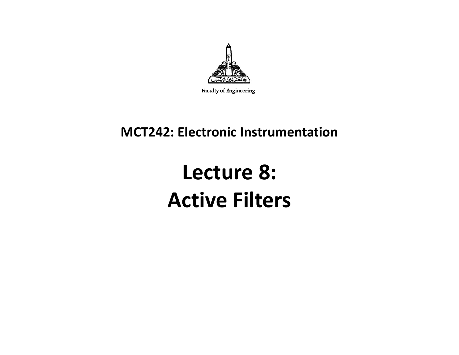

#### **MCT242: Electronic Instrumentation**

## **Lecture 8: Active Filters**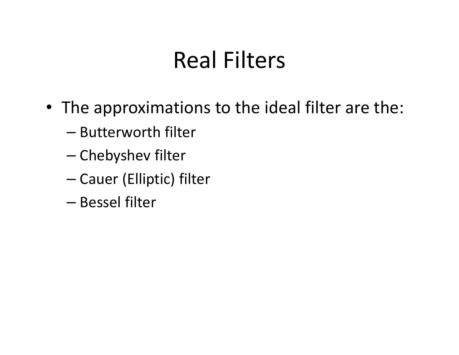# Real Filters

- The approximations to the ideal filter are the:
	- –— Butterworth filter
	- –— Chebyshev filter
	- –— Cauer (Elliptic) filter
	- –— Bessel filter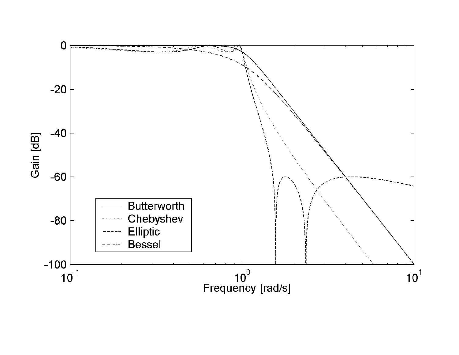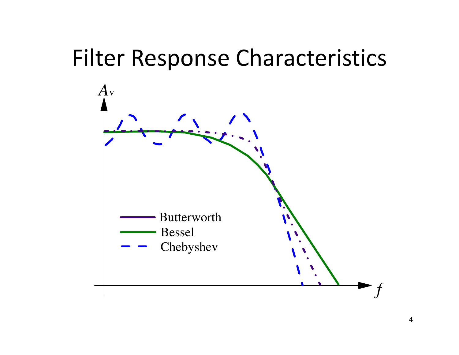## Filter Response Characteristics

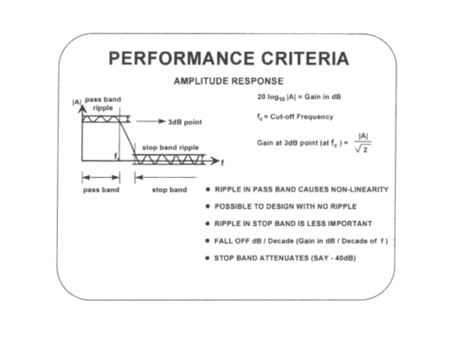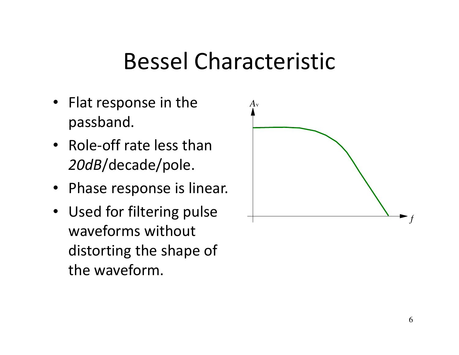## Bessel Characteristic

- Flat response in the passband.
- Role-off rate less than *20dB*/decade/pole.
- Phase response is linear.
- Used for filtering pulse waveforms without distorting the shape of the waveform.

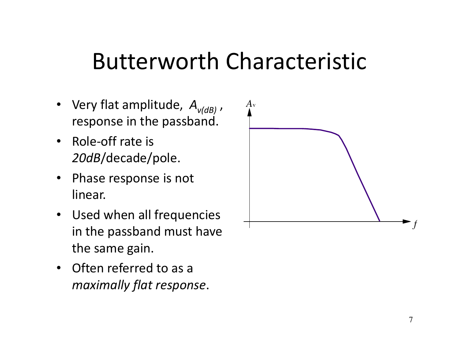## Butterworth Characteristic

- • Very flat amplitude, *<sup>A</sup>v(dB)* , response in the passband.
- Role-off rate is *20dB*/decade/pole.
- Phase response is not linear.
- Used when all frequencies in the passband must have the same gain.
- Often referred to as a *maximally flat response*.

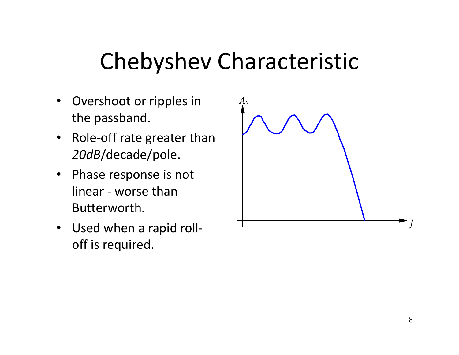# Chebyshev Characteristic

- $\bullet$  Overshoot or ripples in the passband.
- Role-off rate greater than *20dB*/decade/pole.
- $\bullet$  Phase response is not linear - worse than Butterworth.
- Used when a rapid rolloff is required.

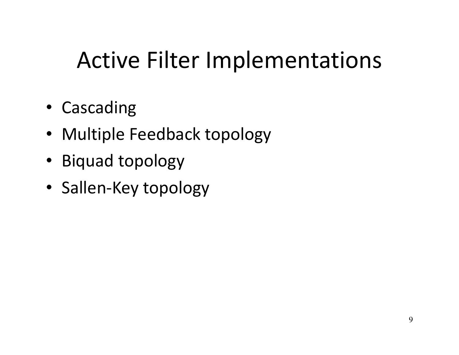# Active Filter Implementations

- Cascading
- Multiple Feedback topology
- Biquad topology
- Sallen-Key topology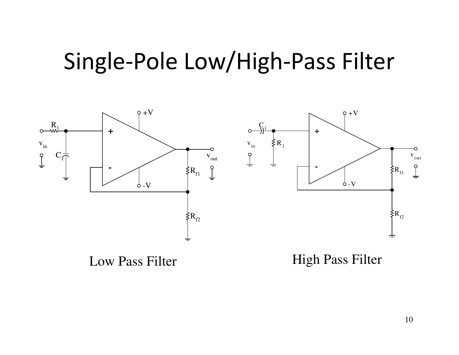## Single-Pole Low/High-Pass Filter



Low Pass Filter

High Pass Filter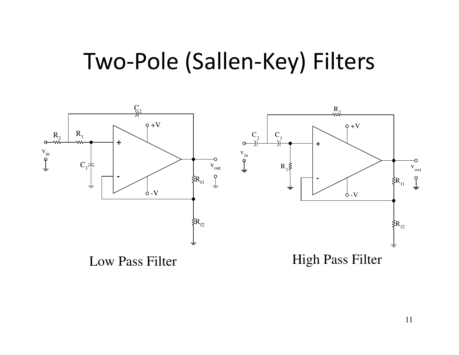### Two-Pole (Sallen-Key) Filters

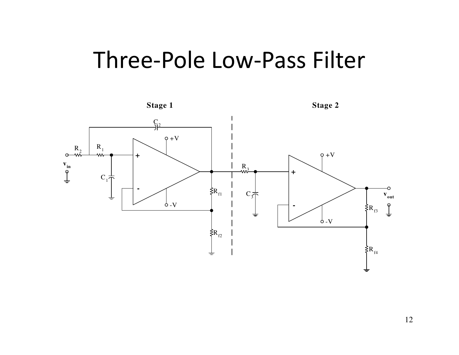## Three-Pole Low-Pass Filter

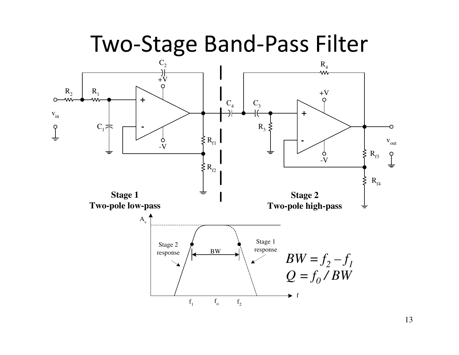

13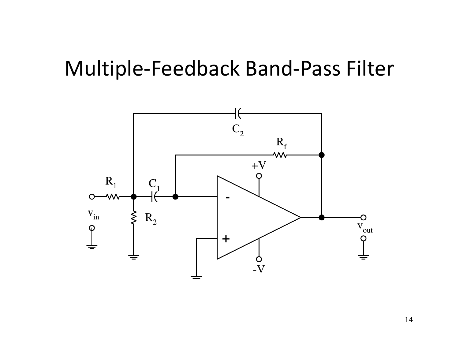### Multiple-Feedback Band-Pass Filter



14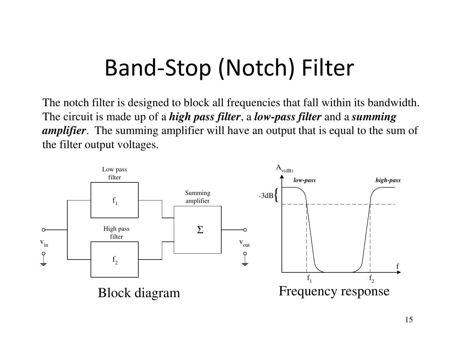# Band-Stop (Notch) Filter

The notch filter is designed to block all frequencies that fall within its bandwidth. The circuit is made up of a *high pass filter*, <sup>a</sup>*low-pass filter* and a *summing amplifier*. The summing amplifier will have an output that is equal to the sum of the filter output voltages.